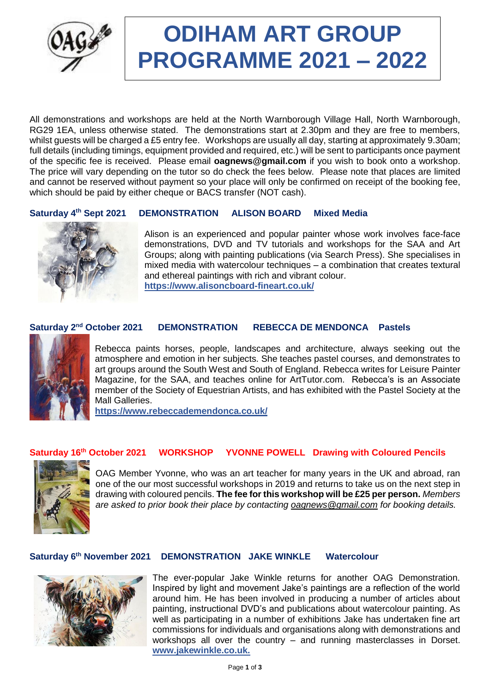

# **ODIHAM ART GROUP PROGRAMME 2021 – 2022**

All demonstrations and workshops are held at the North Warnborough Village Hall, North Warnborough, RG29 1EA, unless otherwise stated. The demonstrations start at 2.30pm and they are free to members, whilst quests will be charged a £5 entry fee. Workshops are usually all day, starting at approximately 9.30am; full details (including timings, equipment provided and required, etc.) will be sent to participants once payment of the specific fee is received. Please email **[oagnews@gmail.com](mailto:oagnews@gmail.com)** if you wish to book onto a workshop. The price will vary depending on the tutor so do check the fees below. Please note that places are limited and cannot be reserved without payment so your place will only be confirmed on receipt of the booking fee, which should be paid by either cheque or BACS transfer (NOT cash).

#### Saturday 4<sup>th</sup> Sept 2021 **DEMONSTRATION ALISON BOARD Mixed Media**



Alison is an experienced and popular painter whose work involves face-face demonstrations, DVD and TV tutorials and workshops for the SAA and Art Groups; along with painting publications (via Search Press). She specialises in mixed media with watercolour techniques – a combination that creates textural and ethereal paintings with rich and vibrant colour. **https://www.alisoncboard-fineart.co.uk/**

#### Saturday 2<sup>nd</sup> October 2021 **DEMONSTRATION REBECCA DE MENDONCA Pastels**



Rebecca paints horses, people, landscapes and architecture, always seeking out the atmosphere and emotion in her subjects. She teaches pastel courses, and demonstrates to art groups around the South West and South of England. Rebecca writes for Leisure Painter Magazine, for the SAA, and teaches online for ArtTutor.com. Rebecca's is an Associate member of the Society of Equestrian Artists, and has exhibited with the Pastel Society at the Mall Galleries.

**https://www.rebeccademendonca.co.uk/**

## **Saturday 16th October 2021 WORKSHOP YVONNE POWELL Drawing with Coloured Pencils**



OAG Member Yvonne, who was an art teacher for many years in the UK and abroad, ran one of the our most successful workshops in 2019 and returns to take us on the next step in drawing with coloured pencils. **The fee for this workshop will be £25 per person.** *Members are asked to prior book their place by contacting [oagnews@gmail.com](mailto:oagnews@gmail.com) for booking details.* 

### **Saturday 6 th November 2021 DEMONSTRATION JAKE WINKLE Watercolour**



The ever-popular Jake Winkle returns for another OAG Demonstration. Inspired by light and movement Jake's paintings are a reflection of the world around him. He has been involved in producing a number of articles about painting, instructional DVD's and publications about watercolour painting. As well as participating in a number of exhibitions Jake has undertaken fine art commissions for individuals and organisations along with demonstrations and workshops all over the country – and running masterclasses in Dorset. **www.jakewinkle.co.uk.**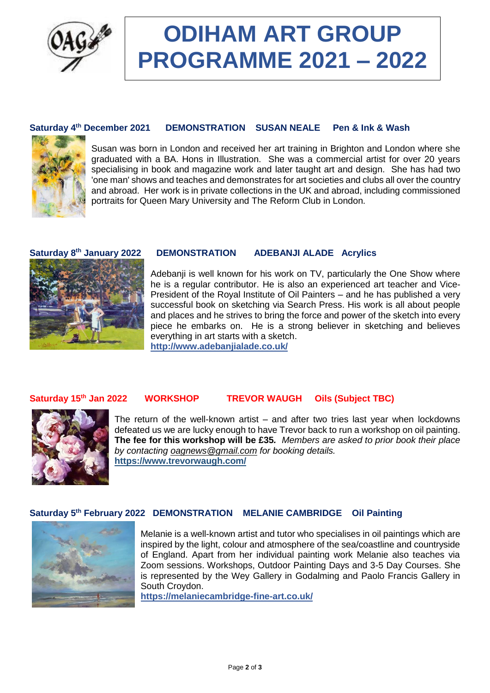

## **ODIHAM ART GROUP PROGRAMME 2021 – 2022**

#### **Saturday 4 DEMONSTRATION SUSAN NEALE Pen & Ink & Wash**



Susan was born in London and received her art training in Brighton and London where she graduated with a BA. Hons in Illustration. She was a commercial artist for over 20 years specialising in book and magazine work and later taught art and design. She has had two 'one man' shows and teaches and demonstrates for art societies and clubs all over the country and abroad. Her work is in private collections in the UK and abroad, including commissioned portraits for Queen Mary University and The Reform Club in London.

### Saturday 8<sup>th</sup> January 2022



## **DEMONSTRATION ADEBANJI ALADE Acrylics**

Adebanji is well known for his work on TV, particularly the One Show where he is a regular contributor. He is also an experienced art teacher and Vice-President of the Royal Institute of Oil Painters – and he has published a very successful book on sketching via Search Press. His work is all about people and places and he strives to bring the force and power of the sketch into every piece he embarks on. He is a strong believer in sketching and believes everything in art starts with a sketch.

**http://www.adebanjialade.co.uk/**

#### Saturday 15<sup>th</sup> Jan 2022 **the VORKSHOP TREVOR WAUGH Oils (Subject TBC)**



The return of the well-known artist – and after two tries last year when lockdowns defeated us we are lucky enough to have Trevor back to run a workshop on oil painting. **The fee for this workshop will be £35***. Members are asked to prior book their place by contacting [oagnews@gmail.com](mailto:oagnews@gmail.com) for booking details.* **<https://www.trevorwaugh.com/>**

## **Saturday 5 th February 2022 DEMONSTRATION MELANIE CAMBRIDGE Oil Painting**



Melanie is a well-known artist and tutor who specialises in oil paintings which are inspired by the light, colour and atmosphere of the sea/coastline and countryside of England. Apart from her individual painting work Melanie also teaches via Zoom sessions. Workshops, Outdoor Painting Days and 3-5 Day Courses. She is represented by the Wey Gallery in Godalming and Paolo Francis Gallery in South Croydon.

**https://melaniecambridge-fine-art.co.uk/**